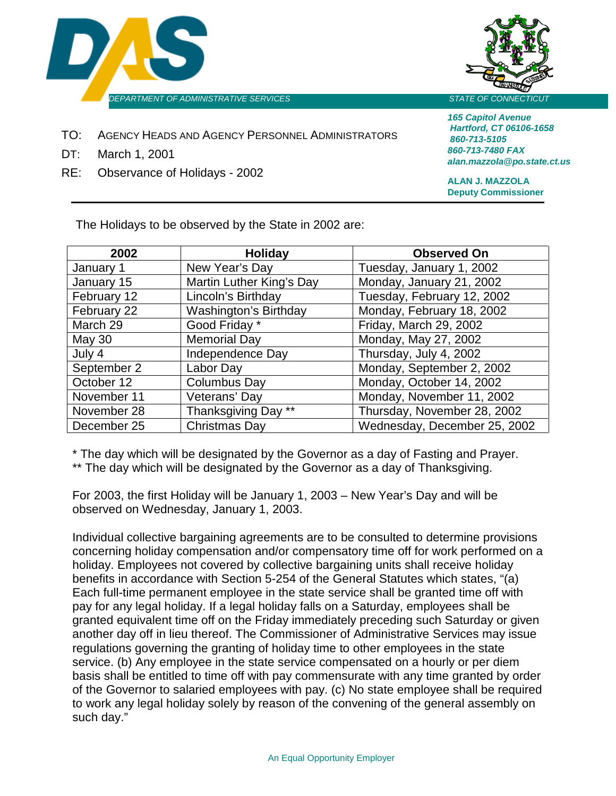



- TO: AGENCY HEADS AND AGENCY PERSONNEL ADMINISTRATORS
- DT: March 1, 2001
- RE: Observance of Holidays 2002

*165 Capitol Avenue Hartford, CT 06106-1658 860-713-5105 860-713-7480 FAX alan.mazzola@po.state.ct.us*

**ALAN J. MAZZOLA Deputy Commissioner**

The Holidays to be observed by the State in 2002 are:

| 2002          | <b>Holiday</b>               | <b>Observed On</b>           |
|---------------|------------------------------|------------------------------|
| January 1     | New Year's Day               | Tuesday, January 1, 2002     |
| January 15    | Martin Luther King's Day     | Monday, January 21, 2002     |
| February 12   | Lincoln's Birthday           | Tuesday, February 12, 2002   |
| February 22   | <b>Washington's Birthday</b> | Monday, February 18, 2002    |
| March 29      | Good Friday *                | Friday, March 29, 2002       |
| <b>May 30</b> | <b>Memorial Day</b>          | Monday, May 27, 2002         |
| July 4        | Independence Day             | Thursday, July 4, 2002       |
| September 2   | Labor Day                    | Monday, September 2, 2002    |
| October 12    | <b>Columbus Day</b>          | Monday, October 14, 2002     |
| November 11   | Veterans' Day                | Monday, November 11, 2002    |
| November 28   | Thanksgiving Day **          | Thursday, November 28, 2002  |
| December 25   | Christmas Day                | Wednesday, December 25, 2002 |

\* The day which will be designated by the Governor as a day of Fasting and Prayer.

\*\* The day which will be designated by the Governor as a day of Thanksgiving.

For 2003, the first Holiday will be January 1, 2003 – New Year's Day and will be observed on Wednesday, January 1, 2003.

Individual collective bargaining agreements are to be consulted to determine provisions concerning holiday compensation and/or compensatory time off for work performed on a holiday. Employees not covered by collective bargaining units shall receive holiday benefits in accordance with Section 5-254 of the General Statutes which states, "(a) Each full-time permanent employee in the state service shall be granted time off with pay for any legal holiday. If a legal holiday falls on a Saturday, employees shall be granted equivalent time off on the Friday immediately preceding such Saturday or given another day off in lieu thereof. The Commissioner of Administrative Services may issue regulations governing the granting of holiday time to other employees in the state service. (b) Any employee in the state service compensated on a hourly or per diem basis shall be entitled to time off with pay commensurate with any time granted by order of the Governor to salaried employees with pay. (c) No state employee shall be required to work any legal holiday solely by reason of the convening of the general assembly on such day."